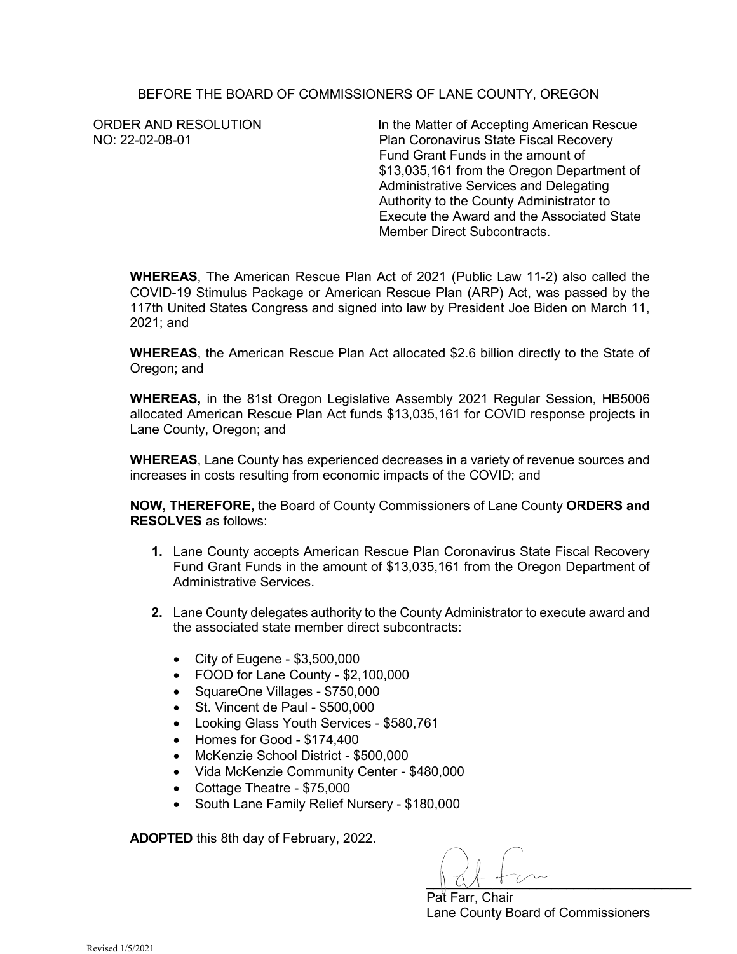## BEFORE THE BOARD OF COMMISSIONERS OF LANE COUNTY, OREGON

| ORDER AND RESOLUTION | In the Matter of Accepting American Rescue |
|----------------------|--------------------------------------------|
| NO: 22-02-08-01      | Plan Coronavirus State Fiscal Recovery     |
|                      | Fund Grant Funds in the amount of          |
|                      | \$13,035,161 from the Oregon Department of |
|                      | Administrative Services and Delegating     |
|                      | Authority to the County Administrator to   |
|                      | Execute the Award and the Associated State |
|                      | <b>Member Direct Subcontracts.</b>         |
|                      |                                            |

**WHEREAS**, The American Rescue Plan Act of 2021 (Public Law 11-2) also called the COVID-19 Stimulus Package or American Rescue Plan (ARP) Act, was passed by the 117th United States Congress and signed into law by President Joe Biden on March 11, 2021; and

**WHEREAS**, the American Rescue Plan Act allocated \$2.6 billion directly to the State of Oregon; and

**WHEREAS,** in the 81st Oregon Legislative Assembly 2021 Regular Session, HB5006 allocated American Rescue Plan Act funds \$13,035,161 for COVID response projects in Lane County, Oregon; and

**WHEREAS**, Lane County has experienced decreases in a variety of revenue sources and increases in costs resulting from economic impacts of the COVID; and

**NOW, THEREFORE,** the Board of County Commissioners of Lane County **ORDERS and RESOLVES** as follows:

- **1.** Lane County accepts American Rescue Plan Coronavirus State Fiscal Recovery Fund Grant Funds in the amount of \$13,035,161 from the Oregon Department of Administrative Services.
- **2.** Lane County delegates authority to the County Administrator to execute award and the associated state member direct subcontracts:
	- City of Eugene \$3,500,000
	- FOOD for Lane County \$2,100,000
	- SquareOne Villages \$750,000
	- St. Vincent de Paul \$500,000
	- Looking Glass Youth Services \$580,761
	- Homes for Good \$174,400
	- McKenzie School District \$500,000
	- Vida McKenzie Community Center \$480,000
	- Cottage Theatre \$75,000
	- South Lane Family Relief Nursery \$180,000

**ADOPTED** this 8th day of February, 2022.

 $\parallel$  C  $\parallel$  C  $\parallel$ 

Pat Farr, Chair Lane County Board of Commissioners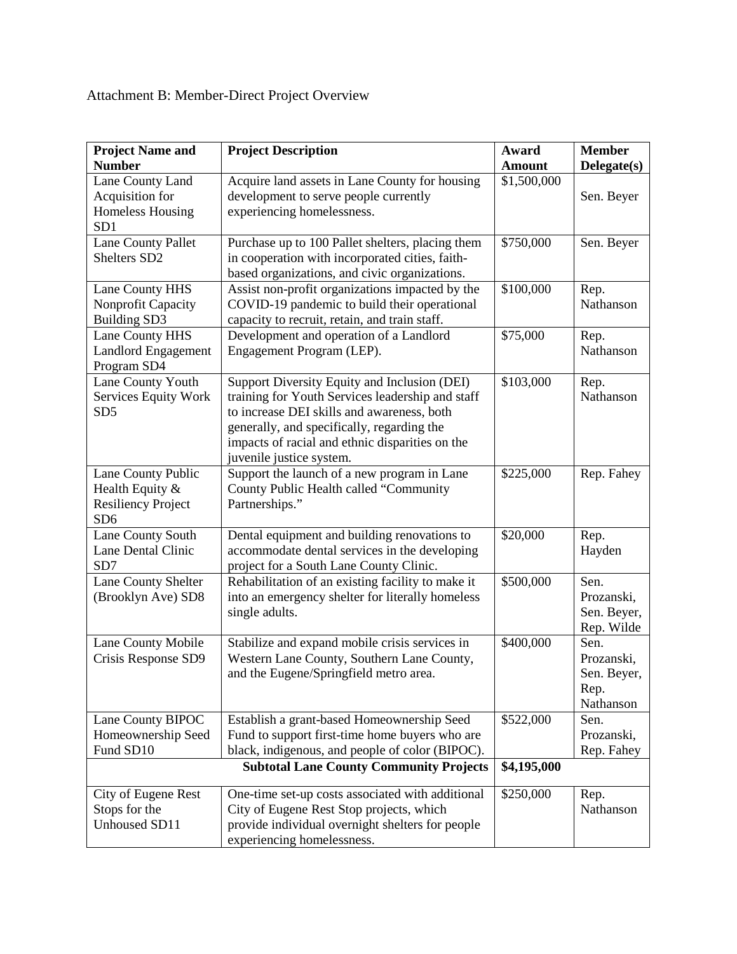## Attachment B: Member-Direct Project Overview

| <b>Project Name and</b><br><b>Number</b>                                              | <b>Project Description</b>                                                                                                                                                                                                                                                  | Award<br><b>Amount</b> | <b>Member</b><br>Delegate(s)                           |
|---------------------------------------------------------------------------------------|-----------------------------------------------------------------------------------------------------------------------------------------------------------------------------------------------------------------------------------------------------------------------------|------------------------|--------------------------------------------------------|
| Lane County Land<br>Acquisition for<br>Homeless Housing<br>SD1                        | Acquire land assets in Lane County for housing<br>development to serve people currently<br>experiencing homelessness.                                                                                                                                                       | \$1,500,000            | Sen. Beyer                                             |
| <b>Lane County Pallet</b><br>Shelters SD <sub>2</sub>                                 | Purchase up to 100 Pallet shelters, placing them<br>in cooperation with incorporated cities, faith-<br>based organizations, and civic organizations.                                                                                                                        | \$750,000              | Sen. Beyer                                             |
| Lane County HHS<br>Nonprofit Capacity<br><b>Building SD3</b>                          | Assist non-profit organizations impacted by the<br>COVID-19 pandemic to build their operational<br>capacity to recruit, retain, and train staff.                                                                                                                            | \$100,000              | Rep.<br>Nathanson                                      |
| <b>Lane County HHS</b><br><b>Landlord Engagement</b><br>Program SD4                   | Development and operation of a Landlord<br>Engagement Program (LEP).                                                                                                                                                                                                        | \$75,000               | Rep.<br>Nathanson                                      |
| Lane County Youth<br>Services Equity Work<br>SD <sub>5</sub>                          | Support Diversity Equity and Inclusion (DEI)<br>training for Youth Services leadership and staff<br>to increase DEI skills and awareness, both<br>generally, and specifically, regarding the<br>impacts of racial and ethnic disparities on the<br>juvenile justice system. | \$103,000              | Rep.<br>Nathanson                                      |
| Lane County Public<br>Health Equity &<br><b>Resiliency Project</b><br>SD <sub>6</sub> | Support the launch of a new program in Lane<br>County Public Health called "Community<br>Partnerships."                                                                                                                                                                     | \$225,000              | Rep. Fahey                                             |
| Lane County South<br>Lane Dental Clinic<br>SD7                                        | Dental equipment and building renovations to<br>accommodate dental services in the developing<br>project for a South Lane County Clinic.                                                                                                                                    | \$20,000               | Rep.<br>Hayden                                         |
| Lane County Shelter<br>(Brooklyn Ave) SD8                                             | Rehabilitation of an existing facility to make it<br>into an emergency shelter for literally homeless<br>single adults.                                                                                                                                                     | \$500,000              | Sen.<br>Prozanski,<br>Sen. Beyer,<br>Rep. Wilde        |
| Lane County Mobile<br>Crisis Response SD9                                             | Stabilize and expand mobile crisis services in<br>Western Lane County, Southern Lane County,<br>and the Eugene/Springfield metro area.                                                                                                                                      | \$400,000              | Sen.<br>Prozanski,<br>Sen. Beyer,<br>Rep.<br>Nathanson |
| Lane County BIPOC<br>Homeownership Seed<br>Fund SD10                                  | Establish a grant-based Homeownership Seed<br>Fund to support first-time home buyers who are<br>black, indigenous, and people of color (BIPOC).                                                                                                                             | \$522,000              | Sen.<br>Prozanski,<br>Rep. Fahey                       |
| <b>Subtotal Lane County Community Projects</b>                                        |                                                                                                                                                                                                                                                                             | \$4,195,000            |                                                        |
| City of Eugene Rest<br>Stops for the<br>Unhoused SD11                                 | One-time set-up costs associated with additional<br>City of Eugene Rest Stop projects, which<br>provide individual overnight shelters for people<br>experiencing homelessness.                                                                                              | \$250,000              | Rep.<br>Nathanson                                      |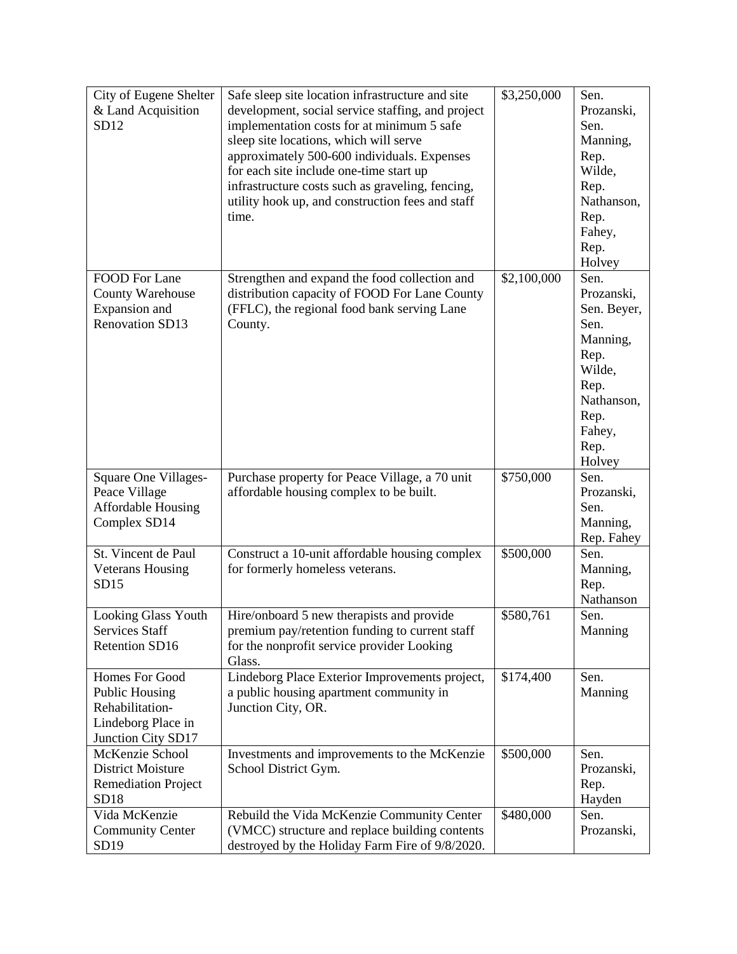| City of Eugene Shelter     | Safe sleep site location infrastructure and site                                                  | \$3,250,000 | Sen.        |
|----------------------------|---------------------------------------------------------------------------------------------------|-------------|-------------|
| & Land Acquisition         | development, social service staffing, and project                                                 |             | Prozanski,  |
| SD12                       | implementation costs for at minimum 5 safe                                                        |             | Sen.        |
|                            | sleep site locations, which will serve                                                            |             | Manning,    |
|                            | approximately 500-600 individuals. Expenses                                                       |             | Rep.        |
|                            | for each site include one-time start up                                                           |             | Wilde,      |
|                            | infrastructure costs such as graveling, fencing,                                                  |             | Rep.        |
|                            | utility hook up, and construction fees and staff                                                  |             | Nathanson,  |
|                            | time.                                                                                             |             | Rep.        |
|                            |                                                                                                   |             | Fahey,      |
|                            |                                                                                                   |             | Rep.        |
|                            |                                                                                                   |             | Holvey      |
| FOOD For Lane              | Strengthen and expand the food collection and                                                     | \$2,100,000 | Sen.        |
| <b>County Warehouse</b>    | distribution capacity of FOOD For Lane County                                                     |             | Prozanski,  |
| Expansion and              | (FFLC), the regional food bank serving Lane                                                       |             | Sen. Beyer, |
| <b>Renovation SD13</b>     | County.                                                                                           |             | Sen.        |
|                            |                                                                                                   |             | Manning,    |
|                            |                                                                                                   |             | Rep.        |
|                            |                                                                                                   |             | Wilde,      |
|                            |                                                                                                   |             | Rep.        |
|                            |                                                                                                   |             | Nathanson,  |
|                            |                                                                                                   |             | Rep.        |
|                            |                                                                                                   |             | Fahey,      |
|                            |                                                                                                   |             | Rep.        |
|                            |                                                                                                   |             | Holvey      |
| Square One Villages-       | Purchase property for Peace Village, a 70 unit                                                    | \$750,000   | Sen.        |
| Peace Village              | affordable housing complex to be built.                                                           |             | Prozanski,  |
| <b>Affordable Housing</b>  |                                                                                                   |             | Sen.        |
| Complex SD14               |                                                                                                   |             | Manning,    |
|                            |                                                                                                   |             | Rep. Fahey  |
| St. Vincent de Paul        | Construct a 10-unit affordable housing complex                                                    | \$500,000   | Sen.        |
| <b>Veterans Housing</b>    | for formerly homeless veterans.                                                                   |             | Manning,    |
| SD15                       |                                                                                                   |             | Rep.        |
|                            |                                                                                                   |             | Nathanson   |
| <b>Looking Glass Youth</b> | Hire/onboard 5 new therapists and provide                                                         | \$580,761   | Sen.        |
| Services Staff             | premium pay/retention funding to current staff                                                    |             | Manning     |
| <b>Retention SD16</b>      | for the nonprofit service provider Looking                                                        |             |             |
|                            | Glass.                                                                                            |             |             |
| Homes For Good             | Lindeborg Place Exterior Improvements project,                                                    | \$174,400   | Sen.        |
| <b>Public Housing</b>      | a public housing apartment community in                                                           |             | Manning     |
| Rehabilitation-            | Junction City, OR.                                                                                |             |             |
| Lindeborg Place in         |                                                                                                   |             |             |
| Junction City SD17         |                                                                                                   |             |             |
| McKenzie School            | Investments and improvements to the McKenzie                                                      | \$500,000   | Sen.        |
| <b>District Moisture</b>   | School District Gym.                                                                              |             | Prozanski,  |
| <b>Remediation Project</b> |                                                                                                   |             | Rep.        |
| SD18                       |                                                                                                   |             | Hayden      |
| Vida McKenzie              | Rebuild the Vida McKenzie Community Center                                                        | \$480,000   | Sen.        |
| <b>Community Center</b>    |                                                                                                   |             |             |
| SD19                       | (VMCC) structure and replace building contents<br>destroyed by the Holiday Farm Fire of 9/8/2020. |             | Prozanski,  |